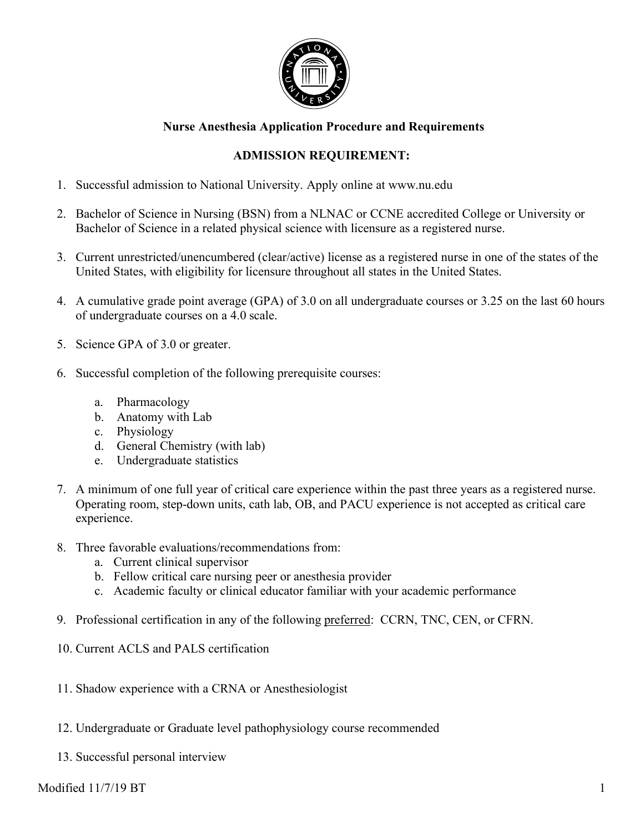

## **Nurse Anesthesia Application Procedure and Requirements**

# **ADMISSION REQUIREMENT:**

- 1. Successful admission to National University. Apply online at www.nu.edu
- 2. Bachelor of Science in Nursing (BSN) from a NLNAC or CCNE accredited College or University or Bachelor of Science in a related physical science with licensure as a registered nurse.
- 3. Current unrestricted/unencumbered (clear/active) license as a registered nurse in one of the states of the United States, with eligibility for licensure throughout all states in the United States.
- 4. A cumulative grade point average (GPA) of 3.0 on all undergraduate courses or 3.25 on the last 60 hours of undergraduate courses on a 4.0 scale.
- 5. Science GPA of 3.0 or greater.
- 6. Successful completion of the following prerequisite courses:
	- a. Pharmacology
	- b. Anatomy with Lab
	- c. Physiology
	- d. General Chemistry (with lab)
	- e. Undergraduate statistics
- 7. A minimum of one full year of critical care experience within the past three years as a registered nurse. Operating room, step-down units, cath lab, OB, and PACU experience is not accepted as critical care experience.
- 8. Three favorable evaluations/recommendations from:
	- a. Current clinical supervisor
	- b. Fellow critical care nursing peer or anesthesia provider
	- c. Academic faculty or clinical educator familiar with your academic performance
- 9. Professional certification in any of the following preferred: CCRN, TNC, CEN, or CFRN.
- 10. Current ACLS and PALS certification
- 11. Shadow experience with a CRNA or Anesthesiologist
- 12. Undergraduate or Graduate level pathophysiology course recommended
- 13. Successful personal interview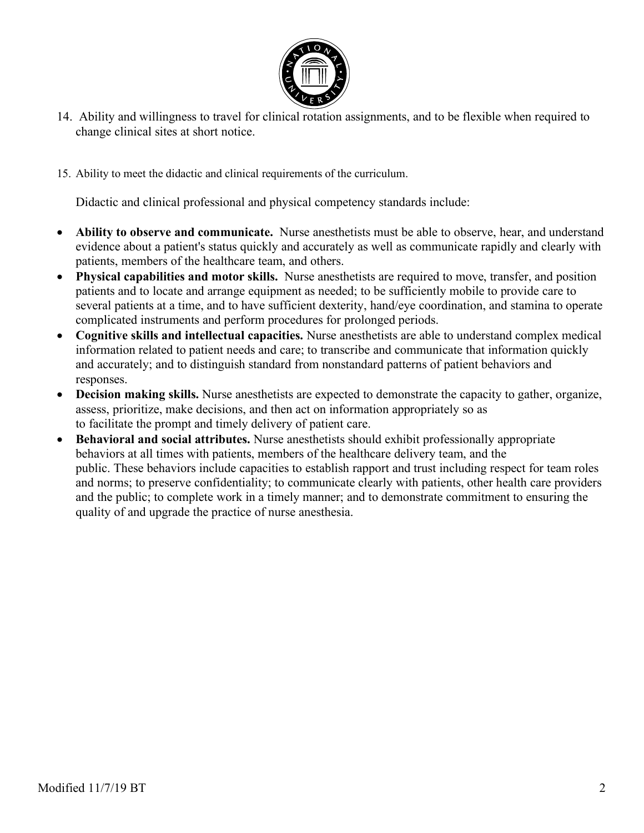

- 14. Ability and willingness to travel for clinical rotation assignments, and to be flexible when required to change clinical sites at short notice.
- 15. Ability to meet the didactic and clinical requirements of the curriculum.

Didactic and clinical professional and physical competency standards include:

- **Ability to observe and communicate.** Nurse anesthetists must be able to observe, hear, and understand evidence about a patient's status quickly and accurately as well as communicate rapidly and clearly with patients, members of the healthcare team, and others.
- **Physical capabilities and motor skills.** Nurse anesthetists are required to move, transfer, and position patients and to locate and arrange equipment as needed; to be sufficiently mobile to provide care to several patients at a time, and to have sufficient dexterity, hand/eye coordination, and stamina to operate complicated instruments and perform procedures for prolonged periods.
- **Cognitive skills and intellectual capacities.** Nurse anesthetists are able to understand complex medical information related to patient needs and care; to transcribe and communicate that information quickly and accurately; and to distinguish standard from nonstandard patterns of patient behaviors and responses.
- **Decision making skills.** Nurse anesthetists are expected to demonstrate the capacity to gather, organize, assess, prioritize, make decisions, and then act on information appropriately so as to facilitate the prompt and timely delivery of patient care.
- **Behavioral and social attributes.** Nurse anesthetists should exhibit professionally appropriate behaviors at all times with patients, members of the healthcare delivery team, and the public. These behaviors include capacities to establish rapport and trust including respect for team roles and norms; to preserve confidentiality; to communicate clearly with patients, other health care providers and the public; to complete work in a timely manner; and to demonstrate commitment to ensuring the quality of and upgrade the practice of nurse anesthesia.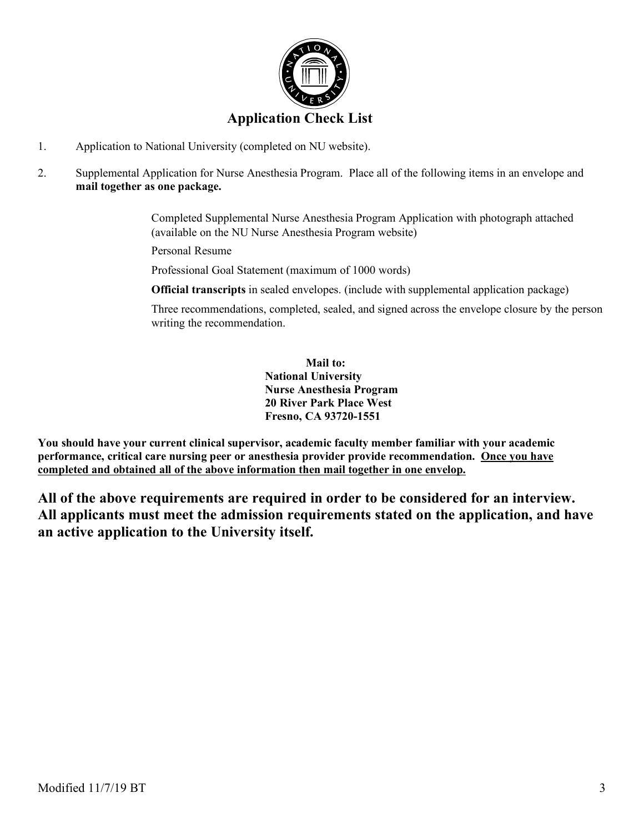

- 1. Application to National University (completed on NU website).
- 2. Supplemental Application for Nurse Anesthesia Program. Place all of the following items in an envelope and **mail together as one package.**

 Completed Supplemental Nurse Anesthesia Program Application with photograph attached (available on the NU Nurse Anesthesia Program website)

Personal Resume

Professional Goal Statement (maximum of 1000 words)

**Official transcripts** in sealed envelopes. (include with supplemental application package)

 Three recommendations, completed, sealed, and signed across the envelope closure by the person writing the recommendation.

> **Mail to: National University Nurse Anesthesia Program 20 River Park Place West Fresno, CA 93720-1551**

**You should have your current clinical supervisor, academic faculty member familiar with your academic performance, critical care nursing peer or anesthesia provider provide recommendation. Once you have completed and obtained all of the above information then mail together in one envelop.**

**All of the above requirements are required in order to be considered for an interview. All applicants must meet the admission requirements stated on the application, and have an active application to the University itself.**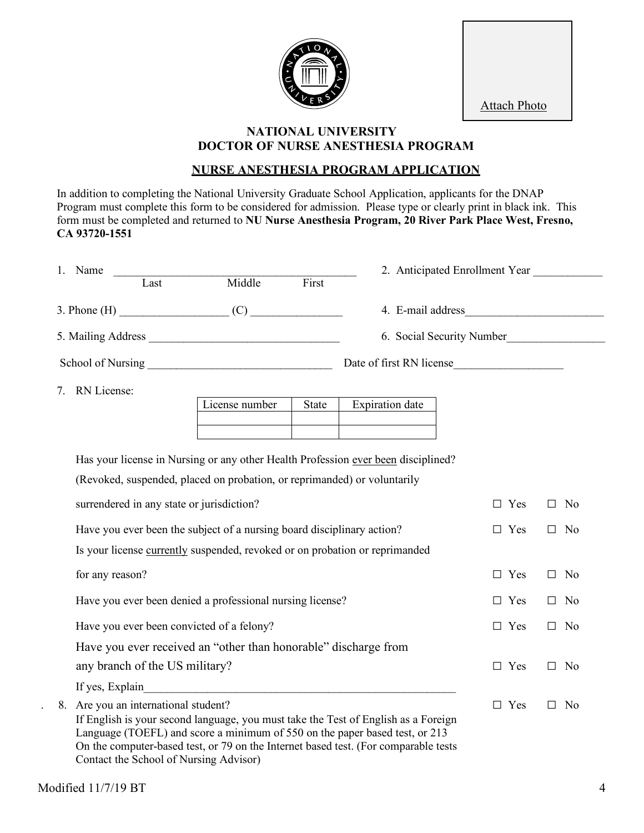

Attach Photo

### **NATIONAL UNIVERSITY DOCTOR OF NURSE ANESTHESIA PROGRAM**

## **NURSE ANESTHESIA PROGRAM APPLICATION**

In addition to completing the National University Graduate School Application, applicants for the DNAP Program must complete this form to be considered for admission. Please type or clearly print in black ink. This form must be completed and returned to **NU Nurse Anesthesia Program, 20 River Park Place West, Fresno, CA 93720-1551**

| Name               |      |        | 2. Anticipated Enrollment Year |                           |  |
|--------------------|------|--------|--------------------------------|---------------------------|--|
|                    | Last | Middle | First                          |                           |  |
| $3.$ Phone $(H)$   |      | (C)    |                                | 4. E-mail address         |  |
| 5. Mailing Address |      |        |                                | 6. Social Security Number |  |
| School of Nursing  |      |        |                                | Date of first RN license  |  |

7. RN License:

| License number | State | <b>Expiration</b> date |
|----------------|-------|------------------------|
|                |       |                        |
|                |       |                        |

Has your license in Nursing or any other Health Profession ever been disciplined?

|  |  | (Revoked, suspended, placed on probation, or reprimanded) or voluntarily |  |
|--|--|--------------------------------------------------------------------------|--|
|  |  |                                                                          |  |

| surrendered in any state or jurisdiction?                                                                                                                                                                                                                                                        | $\Box$ Yes | No.<br>П            |
|--------------------------------------------------------------------------------------------------------------------------------------------------------------------------------------------------------------------------------------------------------------------------------------------------|------------|---------------------|
| Have you ever been the subject of a nursing board disciplinary action?                                                                                                                                                                                                                           | Yes<br>П.  | No.<br>П            |
| Is your license currently suspended, revoked or on probation or reprimanded                                                                                                                                                                                                                      |            |                     |
| for any reason?                                                                                                                                                                                                                                                                                  | $\Box$ Yes | N <sub>0</sub><br>П |
| Have you ever been denied a professional nursing license?                                                                                                                                                                                                                                        | $\Box$ Yes | No.<br>$\Box$       |
| Have you ever been convicted of a felony?                                                                                                                                                                                                                                                        | Yes<br>П   | N <sub>0</sub><br>П |
| Have you ever received an "other than honorable" discharge from                                                                                                                                                                                                                                  |            |                     |
| any branch of the US military?                                                                                                                                                                                                                                                                   | Yes<br>П.  | N <sub>0</sub><br>П |
| If yes, Explain                                                                                                                                                                                                                                                                                  |            |                     |
| 8. Are you an international student?<br>If English is your second language, you must take the Test of English as a Foreign<br>Language (TOEFL) and score a minimum of 550 on the paper based test, or 213<br>On the computer-based test, or 79 on the Internet based test. (For comparable tests | Yes<br>П   | N <sub>0</sub><br>П |

Contact the School of Nursing Advisor)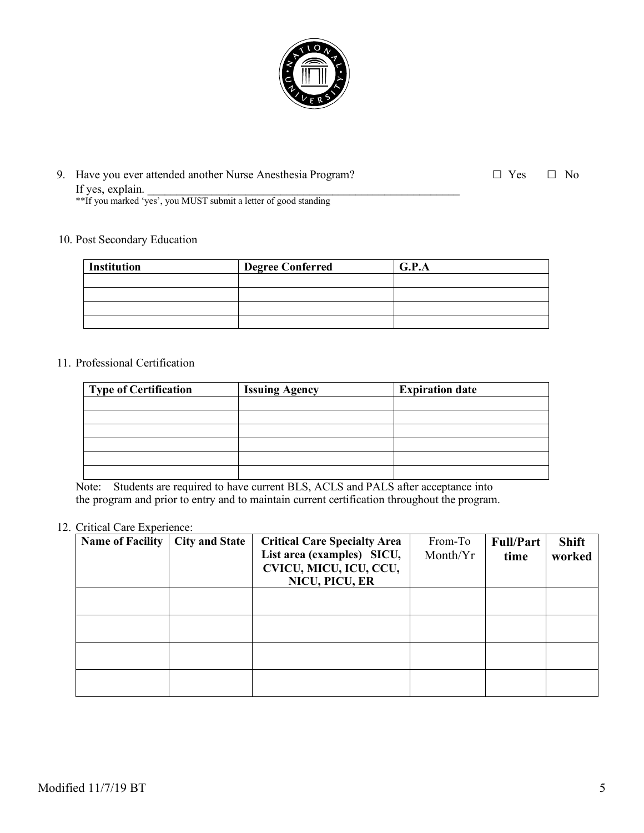

| 9. Have you ever attended another Nurse Anesthesia Program?      | $\Box$ Yes $\Box$ No |  |
|------------------------------------------------------------------|----------------------|--|
| If yes, explain.                                                 |                      |  |
| **If you marked 'yes', you MUST submit a letter of good standing |                      |  |

#### 10. Post Secondary Education

| <b>Institution</b> | <b>Degree Conferred</b> | G.P.A |
|--------------------|-------------------------|-------|
|                    |                         |       |
|                    |                         |       |
|                    |                         |       |
|                    |                         |       |

### 11. Professional Certification

| Type of Certification | <b>Issuing Agency</b> | <b>Expiration date</b> |
|-----------------------|-----------------------|------------------------|
|                       |                       |                        |
|                       |                       |                        |
|                       |                       |                        |
|                       |                       |                        |
|                       |                       |                        |
|                       |                       |                        |

Note: Students are required to have current BLS, ACLS and PALS after acceptance into the program and prior to entry and to maintain current certification throughout the program.

### 12. Critical Care Experience:

| <b>Name of Facility</b> | <b>City and State</b> | <b>Critical Care Specialty Area</b><br>List area (examples) SICU,<br>CVICU, MICU, ICU, CCU,<br>NICU, PICU, ER | From-To<br>Month/Yr | <b>Full/Part</b><br>time | <b>Shift</b><br>worked |
|-------------------------|-----------------------|---------------------------------------------------------------------------------------------------------------|---------------------|--------------------------|------------------------|
|                         |                       |                                                                                                               |                     |                          |                        |
|                         |                       |                                                                                                               |                     |                          |                        |
|                         |                       |                                                                                                               |                     |                          |                        |
|                         |                       |                                                                                                               |                     |                          |                        |